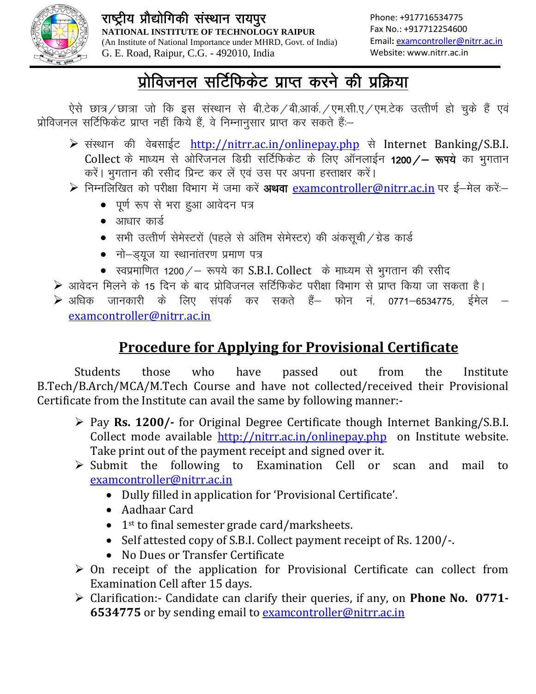

## प्रोविजनल सर्टिफिकेट प्राप्त करने की प्रक्रिया

ऐसे छात्र / छात्रा जो कि इस संस्थान से बी.टेक / बी.आर्क. / एम.सी.ए / एम.टेक उत्तीर्ण हो चुके हैं एवं प्रोविजनल सर्टिफिकेट प्राप्त नहीं किये हैं, वे निम्नानुसार प्राप्त कर सकते हैं:-

- ▶ संस्थान की वेबसाईट http://nitrr.ac.in/onlinepay.php से Internet Banking/S.B.I. Collect के माध्यम से ओरिजनल डिग्री सर्टिफिकेट के लिए ऑनलाईन 1200/- रूपये का भुगतान करें। भुगतान की रसीद प्रिन्ट कर लें एवं उस पर अपना हस्ताक्षर करें।
- > निम्नलिखित को परीक्षा विभाग में जमा करें अथवा examcontroller@nitrr.ac.in पर ई-मेल करें:-
	- पूर्ण रूप से भरा हुआ आवेदन पत्र
	- $\bullet$  आधार कार्ड
	- सभी उत्तीर्ण सेमेस्टरों (पहले से अंतिम सेमेस्टर) की अंकसूची / ग्रेड कार्ड
	- नो-ड्यूज या स्थानांतरण प्रमाण पत्र
	- स्वप्रमाणित 1200 / रूपये का S.B.I. Collect के माध्यम से भुगतान की रसीद

▶ आवेदन मिलने के 15 दिन के बाद प्रोविजनल सर्टिफिकेट परीक्षा विभाग से प्राप्त किया जा सकता है।

▶ अधिक जानकारी के लिए संपर्क कर सकते हैं— फोन नं. 0771–6534775. र्डमेल examcontroller@nitrr.ac.in

### **Procedure for Applying for Provisional Certificate**

**Students** those who have passed out from the Institute B.Tech/B.Arch/MCA/M.Tech Course and have not collected/received their Provisional Certificate from the Institute can avail the same by following manner:-

- $\triangleright$  Pay Rs. 1200/- for Original Degree Certificate though Internet Banking/S.B.I. Collect mode available http://nitrr.ac.in/onlinepay.php on Institute website. Take print out of the payment receipt and signed over it.
- $\triangleright$  Submit the following to Examination Cell or and mail to scan examcontroller@nitrr.ac.in
	- Dully filled in application for 'Provisional Certificate'.
	- Aadhaar Card
	- $\bullet$  1<sup>st</sup> to final semester grade card/marksheets.
	- Self attested copy of S.B.I. Collect payment receipt of Rs. 1200/-.
	- No Dues or Transfer Certificate
- $\triangleright$  On receipt of the application for Provisional Certificate can collect from Examination Cell after 15 days.
- > Clarification:- Candidate can clarify their queries, if any, on **Phone No. 0771-**6534775 or by sending email to examcontroller@nitrr.ac.in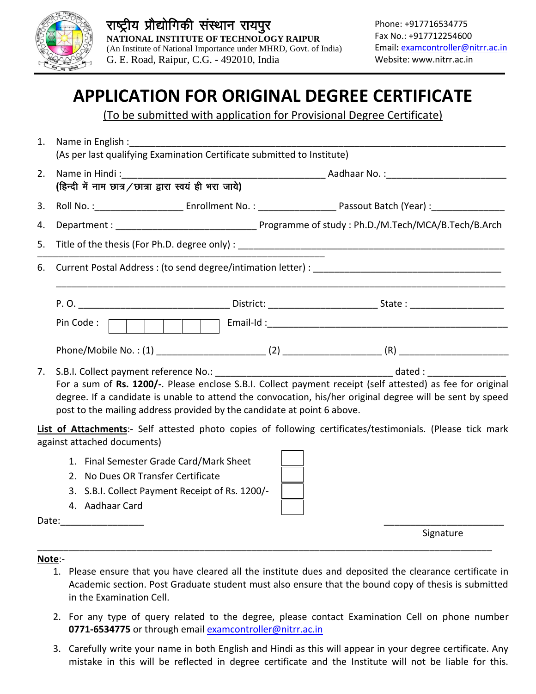

# **APPLICATION FOR ORIGINAL DEGREE CERTIFICATE**

(To be submitted with application for Provisional Degree Certificate)

- 1. Name in English : (As per last qualifying Examination Certificate submitted to Institute)
- 2. Name in Hindi: **Aadhaar No.:** The Samuel And San Francisco State of the San Francisco State of the San Francisco State of the S (हिन्दी में नाम छात्र / छात्रा द्वारा स्वयं ही भरा जाये) 4.
- 5. Title of the thesis (For Ph.D. degree only) :

6. Current Postal Address: (to send degree/intimation letter):

| P. O.                 | District: | State: |
|-----------------------|-----------|--------|
| Pin Code:             | Email-Id: |        |
| Phone/Mobile No.: (1) |           | /R     |

7. S.B.I. Collect payment reference No.: dated: dated: For a sum of Rs. 1200/-. Please enclose S.B.I. Collect payment receipt (self attested) as fee for original degree. If a candidate is unable to attend the convocation, his/her original degree will be sent by speed post to the mailing address provided by the candidate at point 6 above.

List of Attachments:- Self attested photo copies of following certificates/testimonials. (Please tick mark against attached documents)

- 1. Final Semester Grade Card/Mark Sheet
- 2. No Dues OR Transfer Certificate
- 3. S.B.I. Collect Payment Receipt of Rs. 1200/
- 4. Aadhaar Card

Date:

Signature

#### Note:-

- 1. Please ensure that you have cleared all the institute dues and deposited the clearance certificate in Academic section. Post Graduate student must also ensure that the bound copy of thesis is submitted in the Examination Cell.
- 2. For any type of query related to the degree, please contact Examination Cell on phone number 0771-6534775 or through email examcontroller@nitrr.ac.in
- 3. Carefully write your name in both English and Hindi as this will appear in your degree certificate. Any mistake in this will be reflected in degree certificate and the Institute will not be liable for this.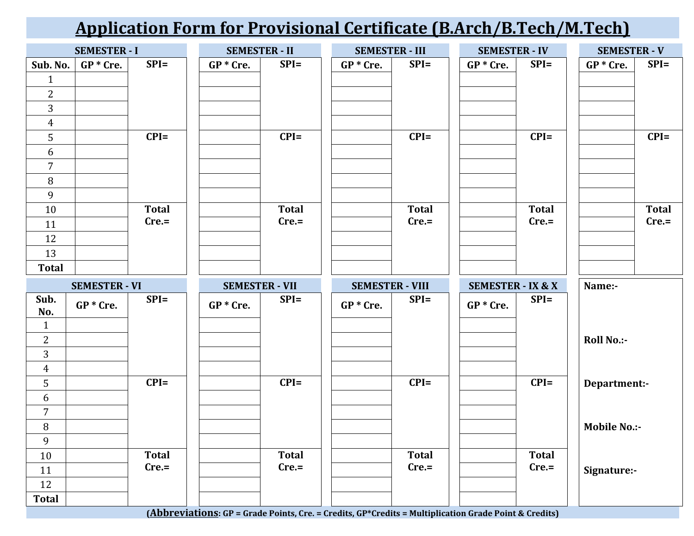# **Application Form for Provisional Certificate (B.Arch/B.Tech/M.Tech)**

|                     | <b>SEMESTER - I</b>  |              |             | <b>SEMESTER - II</b>  | <b>SEMESTER - III</b>  |              |             | <b>SEMESTER - IV</b>         |  | <b>SEMESTER - V</b> |              |
|---------------------|----------------------|--------------|-------------|-----------------------|------------------------|--------------|-------------|------------------------------|--|---------------------|--------------|
| Sub. No.            | $GP * Cre.$          | $SPI =$      | $GP * Cre.$ | $SPI =$               | $GP * Cre.$            | $SPI =$      | $GP * Cre.$ | $SPI =$                      |  | $GP * Cre.$         | $SPI =$      |
| $\mathbf{1}$        |                      |              |             |                       |                        |              |             |                              |  |                     |              |
| $\overline{2}$      |                      |              |             |                       |                        |              |             |                              |  |                     |              |
| 3                   |                      |              |             |                       |                        |              |             |                              |  |                     |              |
| $\overline{4}$      |                      |              |             |                       |                        |              |             |                              |  |                     |              |
| 5                   |                      | $CPI=$       |             | $CPI=$                |                        | $CPI=$       |             | $CPI=$                       |  |                     | $CPI=$       |
| 6                   |                      |              |             |                       |                        |              |             |                              |  |                     |              |
| $\overline{7}$      |                      |              |             |                       |                        |              |             |                              |  |                     |              |
| 8                   |                      |              |             |                       |                        |              |             |                              |  |                     |              |
| 9                   |                      |              |             |                       |                        |              |             |                              |  |                     |              |
| 10                  |                      | <b>Total</b> |             | <b>Total</b>          |                        | <b>Total</b> |             | <b>Total</b>                 |  |                     | <b>Total</b> |
| 11                  |                      | $Cre =$      |             | $Cre =$               |                        | $Cre =$      |             | $Cre =$                      |  |                     | $Cre =$      |
| 12                  |                      |              |             |                       |                        |              |             |                              |  |                     |              |
| 13                  |                      |              |             |                       |                        |              |             |                              |  |                     |              |
|                     |                      |              |             |                       |                        |              |             |                              |  |                     |              |
| <b>Total</b>        |                      |              |             |                       |                        |              |             |                              |  |                     |              |
|                     | <b>SEMESTER - VI</b> |              |             | <b>SEMESTER - VII</b> | <b>SEMESTER - VIII</b> |              |             | <b>SEMESTER - IX &amp; X</b> |  | Name:-              |              |
| Sub.                | $GP * Cre.$          | $SPI =$      | $GP * Cre.$ | $SPI =$               | $GP * Cre.$            | $SPI =$      | $GP * Cre.$ | $SPI =$                      |  |                     |              |
| No.                 |                      |              |             |                       |                        |              |             |                              |  |                     |              |
| $\mathbf{1}$        |                      |              |             |                       |                        |              |             |                              |  |                     |              |
| 2                   |                      |              |             |                       |                        |              |             |                              |  | <b>Roll No.:-</b>   |              |
| 3                   |                      |              |             |                       |                        |              |             |                              |  |                     |              |
| $\overline{4}$      |                      | $CPI=$       |             | $CPI=$                |                        | $CPI=$       |             | $CPI=$                       |  |                     |              |
| 5                   |                      |              |             |                       |                        |              |             |                              |  | Department:-        |              |
| 6<br>$\overline{7}$ |                      |              |             |                       |                        |              |             |                              |  |                     |              |
| 8                   |                      |              |             |                       |                        |              |             |                              |  | <b>Mobile No.:-</b> |              |
| 9                   |                      |              |             |                       |                        |              |             |                              |  |                     |              |
| 10                  |                      | <b>Total</b> |             | <b>Total</b>          |                        | <b>Total</b> |             | Total                        |  |                     |              |
| 11                  |                      | $Cre =$      |             | $Cre =$               |                        | $Cre =$      |             | $Cre =$                      |  | Signature:-         |              |
| 12                  |                      |              |             |                       |                        |              |             |                              |  |                     |              |

**(Abbreviations: GP = Grade Points, Cre. = Credits, GP\*Credits = Multiplication Grade Point & Credits)**